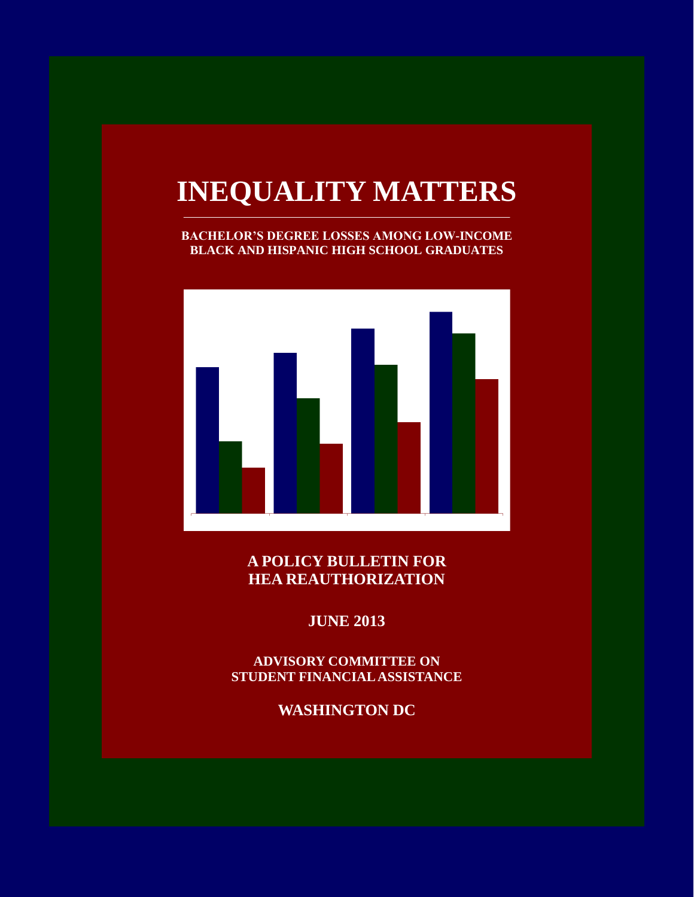# **INEQUALITY MATTERS**

**BACHELOR'S DEGREE LOSSES AMONG LOW-INCOME BLACK AND HISPANIC HIGH SCHOOL GRADUATES**



**A POLICY BULLETIN FOR HEA REAUTHORIZATION**

**JUNE 2013**

**ADVISORY COMMITTEE ON STUDENT FINANCIAL ASSISTANCE**

**WASHINGTON DC**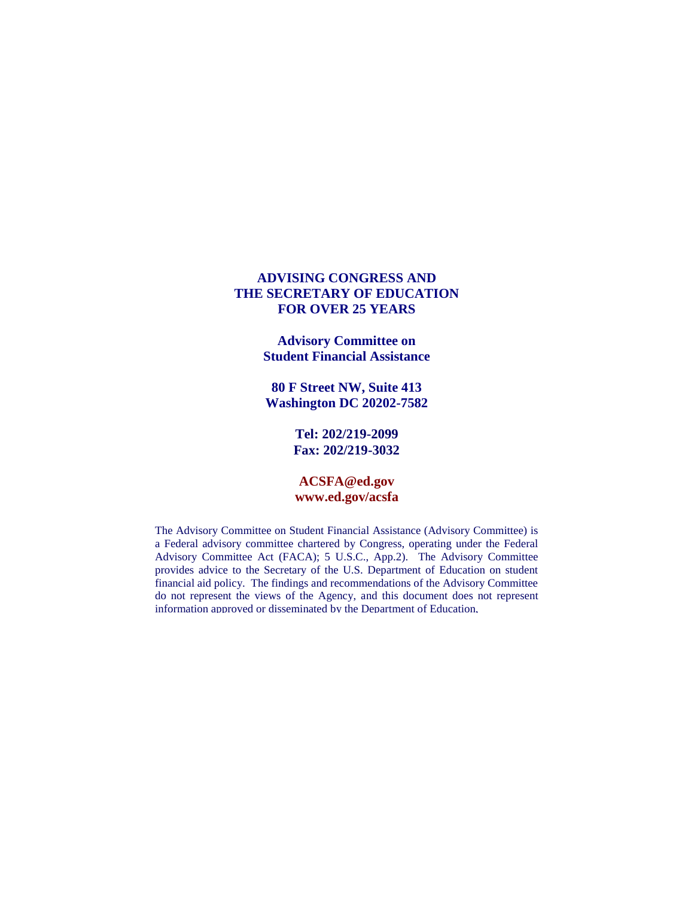# **ADVISING CONGRESS AND THE SECRETARY OF EDUCATION FOR OVER 25 YEARS**

**Advisory Committee on Student Financial Assistance**

**80 F Street NW, Suite 413 Washington DC 20202-7582**

> **Tel: 202/219-2099 Fax: 202/219-3032**

# **ACSFA@ed.gov www.ed.gov/acsfa**

The Advisory Committee on Student Financial Assistance (Advisory Committee) is a Federal advisory committee chartered by Congress, operating under the Federal Advisory Committee Act (FACA); 5 U.S.C., App.2). The Advisory Committee provides advice to the Secretary of the U.S. Department of Education on student financial aid policy. The findings and recommendations of the Advisory Committee do not represent the views of the Agency, and this document does not represent information approved or disseminated by the Department of Education,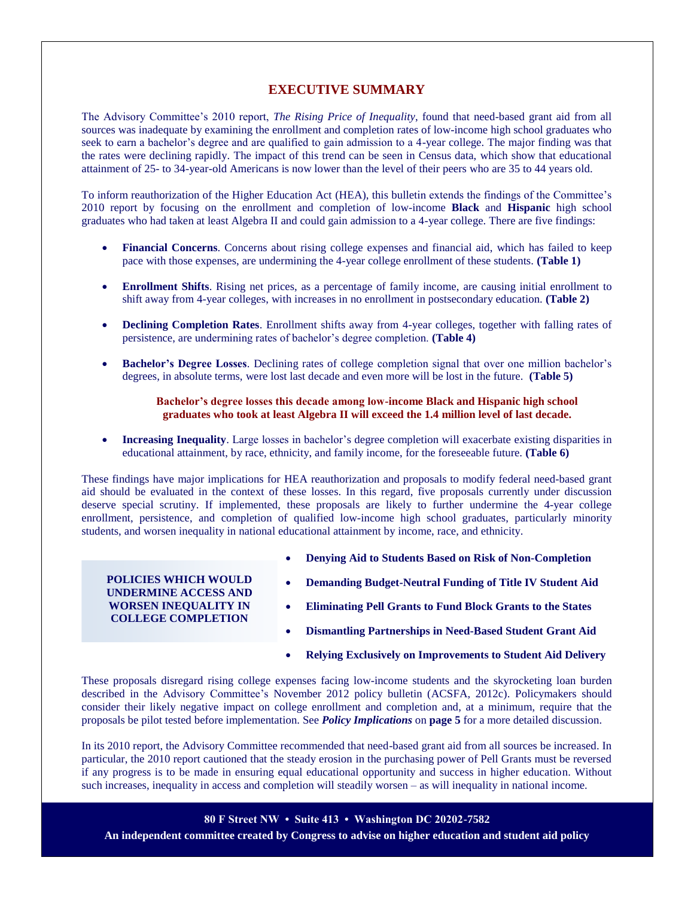# **EXECUTIVE SUMMARY**

The Advisory Committee's 2010 report, *The Rising Price of Inequality*, found that need-based grant aid from all sources was inadequate by examining the enrollment and completion rates of low-income high school graduates who seek to earn a bachelor's degree and are qualified to gain admission to a 4-year college. The major finding was that the rates were declining rapidly. The impact of this trend can be seen in Census data, which show that educational attainment of 25- to 34-year-old Americans is now lower than the level of their peers who are 35 to 44 years old.

To inform reauthorization of the Higher Education Act (HEA), this bulletin extends the findings of the Committee's 2010 report by focusing on the enrollment and completion of low-income **Black** and **Hispanic** high school graduates who had taken at least Algebra II and could gain admission to a 4-year college. There are five findings:

- **Financial Concerns**. Concerns about rising college expenses and financial aid, which has failed to keep pace with those expenses, are undermining the 4-year college enrollment of these students. **(Table 1)**
- **Enrollment Shifts**. Rising net prices, as a percentage of family income, are causing initial enrollment to shift away from 4-year colleges, with increases in no enrollment in postsecondary education. **(Table 2)**
- **Declining Completion Rates**. Enrollment shifts away from 4-year colleges, together with falling rates of persistence, are undermining rates of bachelor's degree completion. **(Table 4)**
- **Bachelor's Degree Losses**. Declining rates of college completion signal that over one million bachelor's degrees, in absolute terms, were lost last decade and even more will be lost in the future. **(Table 5)**

### **Bachelor's degree losses this decade among low-income Black and Hispanic high school graduates who took at least Algebra II will exceed the 1.4 million level of last decade.**

 **Increasing Inequality**. Large losses in bachelor's degree completion will exacerbate existing disparities in educational attainment, by race, ethnicity, and family income, for the foreseeable future. **(Table 6)**

These findings have major implications for HEA reauthorization and proposals to modify federal need-based grant aid should be evaluated in the context of these losses. In this regard, five proposals currently under discussion deserve special scrutiny. If implemented, these proposals are likely to further undermine the 4-year college enrollment, persistence, and completion of qualified low-income high school graduates, particularly minority students, and worsen inequality in national educational attainment by income, race, and ethnicity.

# **POLICIES WHICH WOULD UNDERMINE ACCESS AND WORSEN INEQUALITY IN COLLEGE COMPLETION**

- **Denying Aid to Students Based on Risk of Non-Completion**
- **Demanding Budget-Neutral Funding of Title IV Student Aid**
- **Eliminating Pell Grants to Fund Block Grants to the States**
- **Dismantling Partnerships in Need-Based Student Grant Aid**
- **Relying Exclusively on Improvements to Student Aid Delivery**

These proposals disregard rising college expenses facing low-income students and the skyrocketing loan burden described in the Advisory Committee's November 2012 policy bulletin (ACSFA, 2012c). Policymakers should consider their likely negative impact on college enrollment and completion and, at a minimum, require that the proposals be pilot tested before implementation. See *Policy Implications* on **page 5** for a more detailed discussion.

In its 2010 report, the Advisory Committee recommended that need-based grant aid from all sources be increased. In particular, the 2010 report cautioned that the steady erosion in the purchasing power of Pell Grants must be reversed if any progress is to be made in ensuring equal educational opportunity and success in higher education. Without such increases, inequality in access and completion will steadily worsen – as will inequality in national income.

**80 F Street NW • Suite 413 • Washington DC 20202-7582** 

**An independent committee created by Congress to advise on higher education and student aid policy**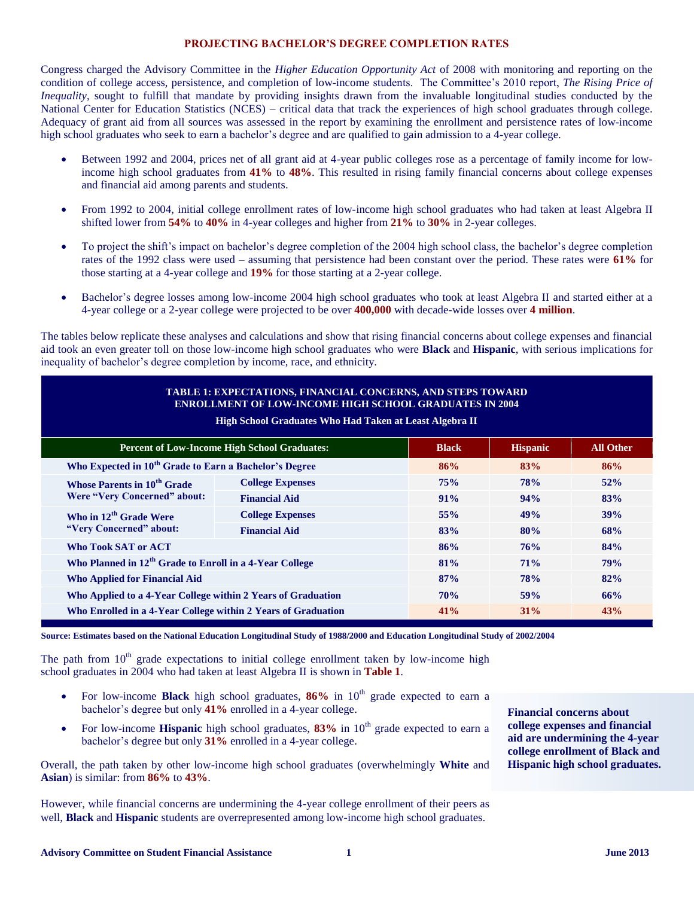# **PROJECTING BACHELOR'S DEGREE COMPLETION RATES**

Congress charged the Advisory Committee in the *Higher Education Opportunity Act* of 2008 with monitoring and reporting on the condition of college access, persistence, and completion of low-income students. The Committee's 2010 report, *The Rising Price of Inequality*, sought to fulfill that mandate by providing insights drawn from the invaluable longitudinal studies conducted by the National Center for Education Statistics (NCES) – critical data that track the experiences of high school graduates through college. Adequacy of grant aid from all sources was assessed in the report by examining the enrollment and persistence rates of low-income high school graduates who seek to earn a bachelor's degree and are qualified to gain admission to a 4-year college.

- Between 1992 and 2004, prices net of all grant aid at 4-year public colleges rose as a percentage of family income for lowincome high school graduates from **41%** to **48%**. This resulted in rising family financial concerns about college expenses and financial aid among parents and students.
- From 1992 to 2004, initial college enrollment rates of low-income high school graduates who had taken at least Algebra II shifted lower from **54%** to **40%** in 4-year colleges and higher from **21%** to **30%** in 2-year colleges.
- To project the shift's impact on bachelor's degree completion of the 2004 high school class, the bachelor's degree completion rates of the 1992 class were used – assuming that persistence had been constant over the period. These rates were **61%** for those starting at a 4-year college and **19%** for those starting at a 2-year college.
- Bachelor's degree losses among low-income 2004 high school graduates who took at least Algebra II and started either at a 4-year college or a 2-year college were projected to be over **400,000** with decade-wide losses over **4 million**.

The tables below replicate these analyses and calculations and show that rising financial concerns about college expenses and financial aid took an even greater toll on those low-income high school graduates who were **Black** and **Hispanic**, with serious implications for inequality of bachelor's degree completion by income, race, and ethnicity.

| <b>TABLE 1: EXPECTATIONS, FINANCIAL CONCERNS, AND STEPS TOWARD</b><br><b>ENROLLMENT OF LOW-INCOME HIGH SCHOOL GRADUATES IN 2004</b><br><b>High School Graduates Who Had Taken at Least Algebra II</b> |                         |     |            |     |  |  |  |  |
|-------------------------------------------------------------------------------------------------------------------------------------------------------------------------------------------------------|-------------------------|-----|------------|-----|--|--|--|--|
| <b>Percent of Low-Income High School Graduates:</b><br><b>Hispanic</b><br><b>All Other</b><br><b>Black</b>                                                                                            |                         |     |            |     |  |  |  |  |
| Who Expected in 10 <sup>th</sup> Grade to Earn a Bachelor's Degree                                                                                                                                    |                         | 86% | 83%        | 86% |  |  |  |  |
| <b>Whose Parents in 10<sup>th</sup> Grade</b>                                                                                                                                                         | <b>College Expenses</b> | 75% | <b>78%</b> | 52% |  |  |  |  |
| <b>Were "Very Concerned" about:</b>                                                                                                                                                                   | <b>Financial Aid</b>    | 91% | 94%        | 83% |  |  |  |  |
| Who in 12 <sup>th</sup> Grade Were                                                                                                                                                                    | <b>College Expenses</b> | 55% | 49%        | 39% |  |  |  |  |
| "Very Concerned" about:                                                                                                                                                                               | <b>Financial Aid</b>    | 83% | 80%        | 68% |  |  |  |  |
| <b>Who Took SAT or ACT</b>                                                                                                                                                                            |                         | 86% | 76%        | 84% |  |  |  |  |
| Who Planned in 12 <sup>th</sup> Grade to Enroll in a 4-Year College                                                                                                                                   |                         | 81% | 71%        | 79% |  |  |  |  |
| <b>Who Applied for Financial Aid</b>                                                                                                                                                                  |                         | 87% | <b>78%</b> | 82% |  |  |  |  |
| Who Applied to a 4-Year College within 2 Years of Graduation                                                                                                                                          |                         | 70% | 59%        | 66% |  |  |  |  |
| Who Enrolled in a 4-Year College within 2 Years of Graduation                                                                                                                                         |                         | 41% | $31\%$     | 43% |  |  |  |  |

**Source: Estimates based on the National Education Longitudinal Study of 1988/2000 and Education Longitudinal Study of 2002/2004**

The path from  $10<sup>th</sup>$  grade expectations to initial college enrollment taken by low-income high school graduates in 2004 who had taken at least Algebra II is shown in **Table 1**.

- For low-income **Black** high school graduates, 86% in 10<sup>th</sup> grade expected to earn a bachelor's degree but only **41%** enrolled in a 4-year college.
- For low-income **Hispanic** high school graduates,  $83\%$  in  $10<sup>th</sup>$  grade expected to earn a bachelor's degree but only **31%** enrolled in a 4-year college.

Overall, the path taken by other low-income high school graduates (overwhelmingly **White** and **Asian**) is similar: from **86%** to **43%**.

However, while financial concerns are undermining the 4-year college enrollment of their peers as well, **Black** and **Hispanic** students are overrepresented among low-income high school graduates.

**Financial concerns about college expenses and financial aid are undermining the 4-year college enrollment of Black and Hispanic high school graduates.**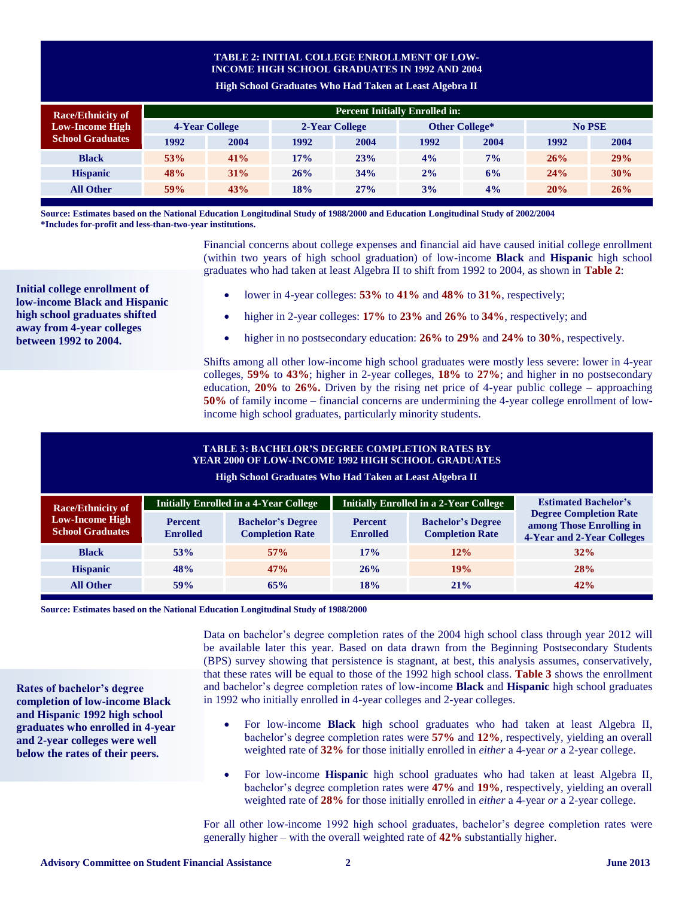# **TABLE 2: INITIAL COLLEGE ENROLLMENT OF LOW-INCOME HIGH SCHOOL GRADUATES IN 1992 AND 2004**

**High School Graduates Who Had Taken at Least Algebra II**

| <b>Race/Ethnicity of</b><br><b>Low-Income High</b><br><b>School Graduates</b> | <b>Percent Initially Enrolled in:</b> |        |                |      |                |       |        |      |  |  |
|-------------------------------------------------------------------------------|---------------------------------------|--------|----------------|------|----------------|-------|--------|------|--|--|
|                                                                               | <b>4-Year College</b>                 |        | 2-Year College |      | Other College* |       | No PSE |      |  |  |
|                                                                               | 1992                                  | 2004   | 1992           | 2004 | 1992           | 2004  | 1992   | 2004 |  |  |
| <b>Black</b>                                                                  | 53%                                   | 41%    | 17%            | 23%  | 4%             | $7\%$ | 26%    | 29%  |  |  |
| <b>Hispanic</b>                                                               | 48%                                   | $31\%$ | 26%            | 34%  | 2%             | 6%    | 24%    | 30%  |  |  |
| <b>All Other</b>                                                              | 59%                                   | 43%    | 18%            | 27%  | 3%             | $4\%$ | 20%    | 26%  |  |  |

**Source: Estimates based on the National Education Longitudinal Study of 1988/2000 and Education Longitudinal Study of 2002/2004 \*Includes for-profit and less-than-two-year institutions.**

> Financial concerns about college expenses and financial aid have caused initial college enrollment (within two years of high school graduation) of low-income **Black** and **Hispanic** high school graduates who had taken at least Algebra II to shift from 1992 to 2004, as shown in **Table 2**:

- lower in 4-year colleges: **53%** to **41%** and **48%** to **31%**, respectively;
- higher in 2-year colleges: **17%** to **23%** and **26%** to **34%**, respectively; and
- higher in no postsecondary education: **26%** to **29%** and **24%** to **30%**, respectively.

Shifts among all other low-income high school graduates were mostly less severe: lower in 4-year colleges, **59%** to **43%**; higher in 2-year colleges, **18%** to **27%**; and higher in no postsecondary education, **20%** to **26%.** Driven by the rising net price of 4-year public college – approaching **50%** of family income – financial concerns are undermining the 4-year college enrollment of lowincome high school graduates, particularly minority students.

# **TABLE 3: BACHELOR'S DEGREE COMPLETION RATES BY YEAR 2000 OF LOW-INCOME 1992 HIGH SCHOOL GRADUATES**

**High School Graduates Who Had Taken at Least Algebra II**

| <b>Race/Ethnicity of</b>                          |                                   | <b>Initially Enrolled in a 4-Year College</b>                                                                                                 |            | <b>Initially Enrolled in a 2-Year College</b>                                           | <b>Estimated Bachelor's</b> |  |
|---------------------------------------------------|-----------------------------------|-----------------------------------------------------------------------------------------------------------------------------------------------|------------|-----------------------------------------------------------------------------------------|-----------------------------|--|
| <b>Low-Income High</b><br><b>School Graduates</b> | <b>Percent</b><br><b>Enrolled</b> | <b>Bachelor's Degree</b><br><b>Bachelor's Degree</b><br><b>Percent</b><br><b>Completion Rate</b><br><b>Completion Rate</b><br><b>Enrolled</b> |            | <b>Degree Completion Rate</b><br>among Those Enrolling in<br>4-Year and 2-Year Colleges |                             |  |
| <b>Black</b>                                      | 53%                               | 57%                                                                                                                                           | 17%        | 12%                                                                                     | 32%                         |  |
| <b>Hispanic</b>                                   | 48%                               | 47%                                                                                                                                           | 26%        | 19%                                                                                     | <b>28%</b>                  |  |
| <b>All Other</b>                                  | 59%                               | 65%                                                                                                                                           | <b>18%</b> | $21\%$                                                                                  | 42%                         |  |

**Source: Estimates based on the National Education Longitudinal Study of 1988/2000**

Data on bachelor's degree completion rates of the 2004 high school class through year 2012 will be available later this year. Based on data drawn from the Beginning Postsecondary Students (BPS) survey showing that persistence is stagnant, at best, this analysis assumes, conservatively, that these rates will be equal to those of the 1992 high school class. **Table 3** shows the enrollment and bachelor's degree completion rates of low-income **Black** and **Hispanic** high school graduates in 1992 who initially enrolled in 4-year colleges and 2-year colleges.

- For low-income **Black** high school graduates who had taken at least Algebra II, bachelor's degree completion rates were **57%** and **12%**, respectively, yielding an overall weighted rate of **32%** for those initially enrolled in *either* a 4-year *or* a 2-year college.
- For low-income **Hispanic** high school graduates who had taken at least Algebra II, bachelor's degree completion rates were **47%** and **19%**, respectively, yielding an overall weighted rate of **28%** for those initially enrolled in *either* a 4-year *or* a 2-year college.

For all other low-income 1992 high school graduates, bachelor's degree completion rates were generally higher – with the overall weighted rate of **42%** substantially higher.

**Initial college enrollment of low-income Black and Hispanic high school graduates shifted away from 4-year colleges between 1992 to 2004.**

**Rates of bachelor's degree completion of low-income Black and Hispanic 1992 high school graduates who enrolled in 4-year and 2-year colleges were well below the rates of their peers.**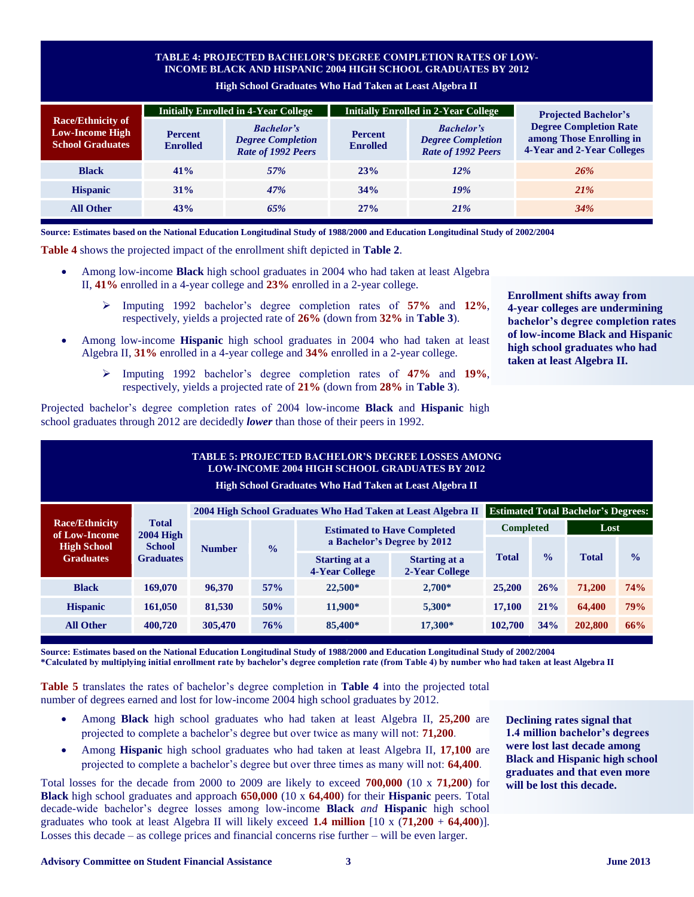# **TABLE 4: PROJECTED BACHELOR'S DEGREE COMPLETION RATES OF LOW-INCOME BLACK AND HISPANIC 2004 HIGH SCHOOL GRADUATES BY 2012**

**High School Graduates Who Had Taken at Least Algebra II**

|                                                                               |                                                                                                          | <b>Initially Enrolled in 4-Year College</b> |                                   | <b>Initially Enrolled in 2-Year College</b>                         | <b>Projected Bachelor's</b>                                                             |  |
|-------------------------------------------------------------------------------|----------------------------------------------------------------------------------------------------------|---------------------------------------------|-----------------------------------|---------------------------------------------------------------------|-----------------------------------------------------------------------------------------|--|
| <b>Race/Ethnicity of</b><br><b>Low-Income High</b><br><b>School Graduates</b> | <b>Bachelor's</b><br><b>Percent</b><br><b>Degree Completion</b><br><b>Enrolled</b><br>Rate of 1992 Peers |                                             | <b>Percent</b><br><b>Enrolled</b> | <b>Bachelor's</b><br><b>Degree Completion</b><br>Rate of 1992 Peers | <b>Degree Completion Rate</b><br>among Those Enrolling in<br>4-Year and 2-Year Colleges |  |
| <b>Black</b>                                                                  | 41%                                                                                                      | 57%                                         | 23%                               | 12%                                                                 | 26%                                                                                     |  |
| <b>Hispanic</b>                                                               | 31%                                                                                                      | 47%                                         | 34%                               | 19%                                                                 | <b>21%</b>                                                                              |  |
| <b>All Other</b>                                                              | 43%                                                                                                      | 65%                                         | 27%                               | 21%                                                                 | 34%                                                                                     |  |

**Source: Estimates based on the National Education Longitudinal Study of 1988/2000 and Education Longitudinal Study of 2002/2004**

**Table 4** shows the projected impact of the enrollment shift depicted in **Table 2**.

- Among low-income **Black** high school graduates in 2004 who had taken at least Algebra II, **41%** enrolled in a 4-year college and **23%** enrolled in a 2-year college.
	- Imputing 1992 bachelor's degree completion rates of **57%** and **12%**, respectively, yields a projected rate of **26%** (down from **32%** in **Table 3**).
- Among low-income **Hispanic** high school graduates in 2004 who had taken at least Algebra II, **31%** enrolled in a 4-year college and **34%** enrolled in a 2-year college.
	- Imputing 1992 bachelor's degree completion rates of **47%** and **19%**, respectively, yields a projected rate of **21%** (down from **28%** in **Table 3**).

Projected bachelor's degree completion rates of 2004 low-income **Black** and **Hispanic** high school graduates through 2012 are decidedly *lower* than those of their peers in 1992.

**Enrollment shifts away from 4-year colleges are undermining bachelor's degree completion rates of low-income Black and Hispanic high school graduates who had taken at least Algebra II.**

| <b>TABLE 5: PROJECTED BACHELOR'S DEGREE LOSSES AMONG</b><br><b>LOW-INCOME 2004 HIGH SCHOOL GRADUATES BY 2012</b><br>High School Graduates Who Had Taken at Least Algebra II |                  |               |               |                                               |                                        |                                            |                  |              |               |  |
|-----------------------------------------------------------------------------------------------------------------------------------------------------------------------------|------------------|---------------|---------------|-----------------------------------------------|----------------------------------------|--------------------------------------------|------------------|--------------|---------------|--|
| 2004 High School Graduates Who Had Taken at Least Algebra II                                                                                                                |                  |               |               |                                               |                                        | <b>Estimated Total Bachelor's Degrees:</b> |                  |              |               |  |
| <b>Race/Ethnicity</b><br><b>Total</b><br>of Low-Income<br><b>High School</b><br><b>Graduates</b>                                                                            | $2004$ High      | <b>Number</b> | $\frac{0}{0}$ | <b>Estimated to Have Completed</b>            |                                        |                                            | <b>Completed</b> |              | Lost          |  |
|                                                                                                                                                                             | <b>School</b>    |               |               | a Bachelor's Degree by 2012                   |                                        |                                            |                  |              |               |  |
|                                                                                                                                                                             | <b>Graduates</b> |               |               | <b>Starting at a</b><br><b>4-Year College</b> | <b>Starting at a</b><br>2-Year College | <b>Total</b>                               | $\frac{0}{0}$    | <b>Total</b> | $\frac{0}{0}$ |  |
| <b>Black</b>                                                                                                                                                                | 169,070          | 96,370        | 57%           | 22,500*                                       | $2.700*$                               | 25,200                                     | 26%              | 71,200       | 74%           |  |
| <b>Hispanic</b>                                                                                                                                                             | 161,050          | 81,530        | 50%           | 11.900*                                       | 5,300*                                 | 17,100                                     | 21%              | 64,400       | 79%           |  |
| <b>All Other</b>                                                                                                                                                            | 400,720          | 305,470       | 76%           | 85,400*                                       | 17,300*                                | 102,700                                    | 34%              | 202,800      | 66%           |  |

**Source: Estimates based on the National Education Longitudinal Study of 1988/2000 and Education Longitudinal Study of 2002/2004 \*Calculated by multiplying initial enrollment rate by bachelor's degree completion rate (from Table 4) by number who had taken at least Algebra II**

**Table 5** translates the rates of bachelor's degree completion in **Table 4** into the projected total number of degrees earned and lost for low-income 2004 high school graduates by 2012.

- Among **Black** high school graduates who had taken at least Algebra II, **25,200** are projected to complete a bachelor's degree but over twice as many will not: **71,200**.
- Among **Hispanic** high school graduates who had taken at least Algebra II, **17,100** are projected to complete a bachelor's degree but over three times as many will not: **64,400**.

Total losses for the decade from 2000 to 2009 are likely to exceed **700,000** (10 x **71,200**) for **Black** high school graduates and approach **650,000** (10 x **64,400**) for their **Hispanic** peers. Total decade-wide bachelor's degree losses among low-income **Black** *and* **Hispanic** high school graduates who took at least Algebra II will likely exceed **1.4 million** [10 x (**71,200** + **64,400**)]. Losses this decade – as college prices and financial concerns rise further – will be even larger.

**Declining rates signal that 1.4 million bachelor's degrees were lost last decade among Black and Hispanic high school graduates and that even more will be lost this decade.**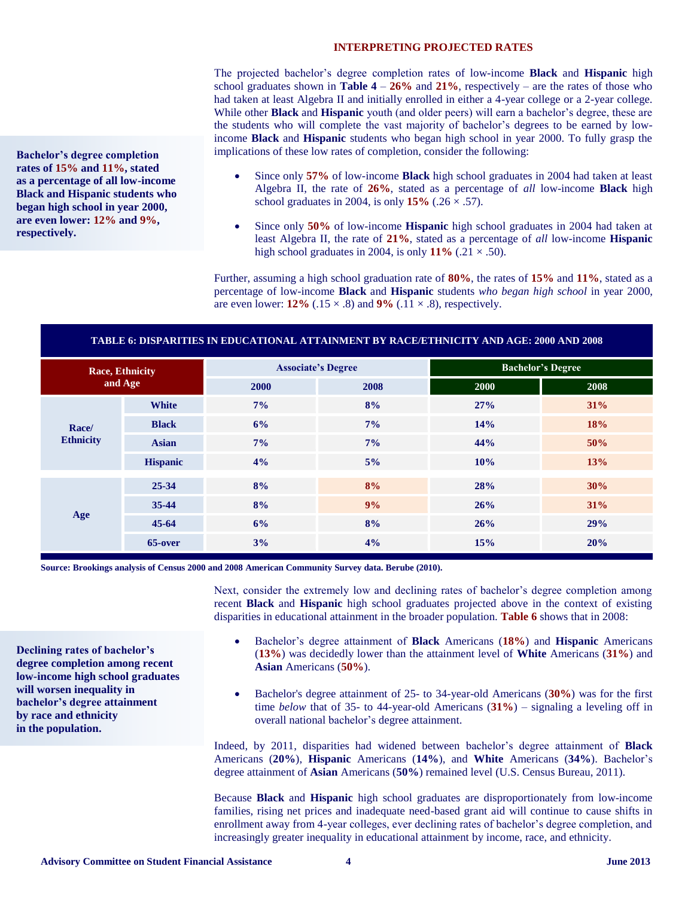#### **INTERPRETING PROJECTED RATES**

The projected bachelor's degree completion rates of low-income **Black** and **Hispanic** high school graduates shown in **Table**  $4 - 26\%$  and  $21\%$ , respectively – are the rates of those who had taken at least Algebra II and initially enrolled in either a 4-year college or a 2-year college. While other **Black** and **Hispanic** youth (and older peers) will earn a bachelor's degree, these are the students who will complete the vast majority of bachelor's degrees to be earned by lowincome **Black** and **Hispanic** students who began high school in year 2000. To fully grasp the implications of these low rates of completion, consider the following:

- Since only **57%** of low-income **Black** high school graduates in 2004 had taken at least Algebra II, the rate of **26%**, stated as a percentage of *all* low-income **Black** high school graduates in 2004, is only  $15\%$  (.26  $\times$  .57).
- Since only **50%** of low-income **Hispanic** high school graduates in 2004 had taken at least Algebra II, the rate of **21%**, stated as a percentage of *all* low-income **Hispanic** high school graduates in 2004, is only  $11\%$  (.21  $\times$  .50).

Further, assuming a high school graduation rate of **80%**, the rates of **15%** and **11%**, stated as a percentage of low-income **Black** and **Hispanic** students *who began high school* in year 2000, are even lower:  $12\%$  (.15  $\times$  .8) and  $9\%$  (.11  $\times$  .8), respectively.

#### **TABLE 6: DISPARITIES IN EDUCATIONAL ATTAINMENT BY RACE/ETHNICITY AND AGE: 2000 AND 2008**

| <b>Race, Ethnicity</b><br>and Age |                 |       | <b>Associate's Degree</b> | <b>Bachelor's Degree</b> |      |  |
|-----------------------------------|-----------------|-------|---------------------------|--------------------------|------|--|
|                                   |                 | 2000  | 2008                      | 2000                     | 2008 |  |
| Race/<br><b>Ethnicity</b>         | <b>White</b>    | $7\%$ | 8%                        | 27%                      | 31%  |  |
|                                   | <b>Black</b>    | 6%    | 7%                        | 14%                      | 18%  |  |
|                                   | <b>Asian</b>    | $7\%$ | 7%                        | 44%                      | 50%  |  |
|                                   | <b>Hispanic</b> | 4%    | 5%                        | 10%                      | 13%  |  |
|                                   | $25 - 34$       | 8%    | 8%                        | 28%                      | 30%  |  |
| Age                               | 35-44           | 8%    | 9%                        | 26%                      | 31%  |  |
|                                   | $45 - 64$       | 6%    | 8%                        | 26%                      | 29%  |  |
|                                   | 65-over         | 3%    | 4%                        | 15%                      | 20%  |  |

**Source: Brookings analysis of Census 2000 and 2008 American Community Survey data. Berube (2010).**

Next, consider the extremely low and declining rates of bachelor's degree completion among recent **Black** and **Hispanic** high school graduates projected above in the context of existing disparities in educational attainment in the broader population. **Table 6** shows that in 2008:

- Bachelor's degree attainment of **Black** Americans (**18%**) and **Hispanic** Americans (**13%**) was decidedly lower than the attainment level of **White** Americans (**31%**) and **Asian** Americans (**50%**).
- Bachelor's degree attainment of 25- to 34-year-old Americans (**30%**) was for the first time *below* that of 35- to 44-year-old Americans  $(31\%)$  – signaling a leveling off in overall national bachelor's degree attainment.

Indeed, by 2011, disparities had widened between bachelor's degree attainment of **Black** Americans (**20%**), **Hispanic** Americans (**14%**), and **White** Americans (**34%**). Bachelor's degree attainment of **Asian** Americans (**50%**) remained level (U.S. Census Bureau, 2011).

Because **Black** and **Hispanic** high school graduates are disproportionately from low-income families, rising net prices and inadequate need-based grant aid will continue to cause shifts in enrollment away from 4-year colleges, ever declining rates of bachelor's degree completion, and increasingly greater inequality in educational attainment by income, race, and ethnicity.

**Bachelor's degree completion rates of 15% and 11%, stated as a percentage of all low-income Black and Hispanic students who began high school in year 2000, are even lower: 12% and 9%, respectively.**

**Declining rates of bachelor's degree completion among recent low-income high school graduates** 

**will worsen inequality in bachelor's degree attainment** 

**by race and ethnicity in the population.**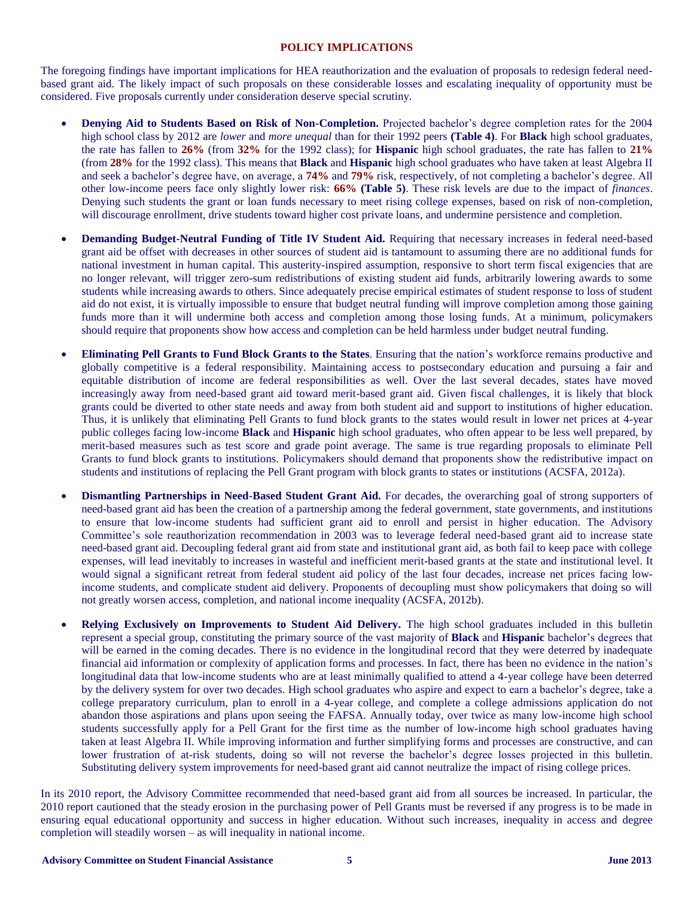## **POLICY IMPLICATIONS**

The foregoing findings have important implications for HEA reauthorization and the evaluation of proposals to redesign federal needbased grant aid. The likely impact of such proposals on these considerable losses and escalating inequality of opportunity must be considered. Five proposals currently under consideration deserve special scrutiny.

- **Denying Aid to Students Based on Risk of Non-Completion.** Projected bachelor's degree completion rates for the 2004 high school class by 2012 are *lower* and *more unequal* than for their 1992 peers **(Table 4)**. For **Black** high school graduates, the rate has fallen to **26%** (from **32%** for the 1992 class); for **Hispanic** high school graduates, the rate has fallen to **21%** (from **28%** for the 1992 class). This means that **Black** and **Hispanic** high school graduates who have taken at least Algebra II and seek a bachelor's degree have, on average, a **74%** and **79%** risk, respectively, of not completing a bachelor's degree. All other low-income peers face only slightly lower risk: **66% (Table 5)**. These risk levels are due to the impact of *finances*. Denying such students the grant or loan funds necessary to meet rising college expenses, based on risk of non-completion, will discourage enrollment, drive students toward higher cost private loans, and undermine persistence and completion.
- **Demanding Budget-Neutral Funding of Title IV Student Aid.** Requiring that necessary increases in federal need-based grant aid be offset with decreases in other sources of student aid is tantamount to assuming there are no additional funds for national investment in human capital. This austerity-inspired assumption, responsive to short term fiscal exigencies that are no longer relevant, will trigger zero-sum redistributions of existing student aid funds, arbitrarily lowering awards to some students while increasing awards to others. Since adequately precise empirical estimates of student response to loss of student aid do not exist, it is virtually impossible to ensure that budget neutral funding will improve completion among those gaining funds more than it will undermine both access and completion among those losing funds. At a minimum, policymakers should require that proponents show how access and completion can be held harmless under budget neutral funding.
- **Eliminating Pell Grants to Fund Block Grants to the States**. Ensuring that the nation's workforce remains productive and globally competitive is a federal responsibility. Maintaining access to postsecondary education and pursuing a fair and equitable distribution of income are federal responsibilities as well. Over the last several decades, states have moved increasingly away from need-based grant aid toward merit-based grant aid. Given fiscal challenges, it is likely that block grants could be diverted to other state needs and away from both student aid and support to institutions of higher education. Thus, it is unlikely that eliminating Pell Grants to fund block grants to the states would result in lower net prices at 4-year public colleges facing low-income **Black** and **Hispanic** high school graduates, who often appear to be less well prepared, by merit-based measures such as test score and grade point average. The same is true regarding proposals to eliminate Pell Grants to fund block grants to institutions. Policymakers should demand that proponents show the redistributive impact on students and institutions of replacing the Pell Grant program with block grants to states or institutions (ACSFA, 2012a).
- **Dismantling Partnerships in Need-Based Student Grant Aid.** For decades, the overarching goal of strong supporters of need-based grant aid has been the creation of a partnership among the federal government, state governments, and institutions to ensure that low-income students had sufficient grant aid to enroll and persist in higher education. The Advisory Committee's sole reauthorization recommendation in 2003 was to leverage federal need-based grant aid to increase state need-based grant aid. Decoupling federal grant aid from state and institutional grant aid, as both fail to keep pace with college expenses, will lead inevitably to increases in wasteful and inefficient merit-based grants at the state and institutional level. It would signal a significant retreat from federal student aid policy of the last four decades, increase net prices facing lowincome students, and complicate student aid delivery. Proponents of decoupling must show policymakers that doing so will not greatly worsen access, completion, and national income inequality (ACSFA, 2012b).
- **Relying Exclusively on Improvements to Student Aid Delivery.** The high school graduates included in this bulletin represent a special group, constituting the primary source of the vast majority of **Black** and **Hispanic** bachelor's degrees that will be earned in the coming decades. There is no evidence in the longitudinal record that they were deterred by inadequate financial aid information or complexity of application forms and processes. In fact, there has been no evidence in the nation's longitudinal data that low-income students who are at least minimally qualified to attend a 4-year college have been deterred by the delivery system for over two decades. High school graduates who aspire and expect to earn a bachelor's degree, take a college preparatory curriculum, plan to enroll in a 4-year college, and complete a college admissions application do not abandon those aspirations and plans upon seeing the FAFSA. Annually today, over twice as many low-income high school students successfully apply for a Pell Grant for the first time as the number of low-income high school graduates having taken at least Algebra II. While improving information and further simplifying forms and processes are constructive, and can lower frustration of at-risk students, doing so will not reverse the bachelor's degree losses projected in this bulletin. Substituting delivery system improvements for need-based grant aid cannot neutralize the impact of rising college prices.

In its 2010 report, the Advisory Committee recommended that need-based grant aid from all sources be increased. In particular, the 2010 report cautioned that the steady erosion in the purchasing power of Pell Grants must be reversed if any progress is to be made in ensuring equal educational opportunity and success in higher education. Without such increases, inequality in access and degree completion will steadily worsen – as will inequality in national income.